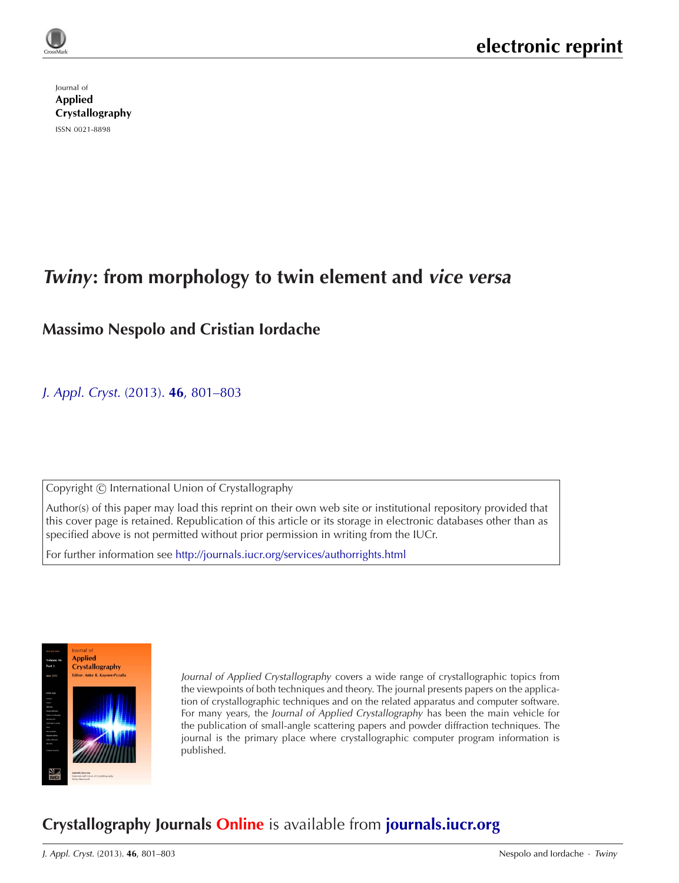Journal of Applied [Crystallography](http://journals.iucr.org/j/) ISSN 0021-8898

# **Twiny: from morphology to twin element and vice versa**

## **Massimo Nespolo and Cristian Iordache**

### J. Appl. Cryst. (2013). **46**[, 801–803](http://dx.doi.org/10.1107/S0021889813009746)

Copyright © International Union of Crystallography

Author(s) of this paper may load this reprint on their own web site or institutional repository provided that this cover page is retained. Republication of this article or its storage in electronic databases other than as specified above is not permitted without prior permission in writing from the IUCr.

For further information see <http://journals.iucr.org/services/authorrights.html>



Journal of Applied Crystallography covers a wide range of crystallographic topics from the viewpoints of both techniques and theory. The journal presents papers on the application of crystallographic techniques and on the related apparatus and computer software. For many years, the Journal of Applied Crystallography has been the main vehicle for the publication of small-angle scattering papers and powder diffraction techniques. The journal is the primary place where crystallographic computer program information is published.

# **Crystallography Journals Online** is available from **[journals.iucr.org](http://journals.iucr.org)**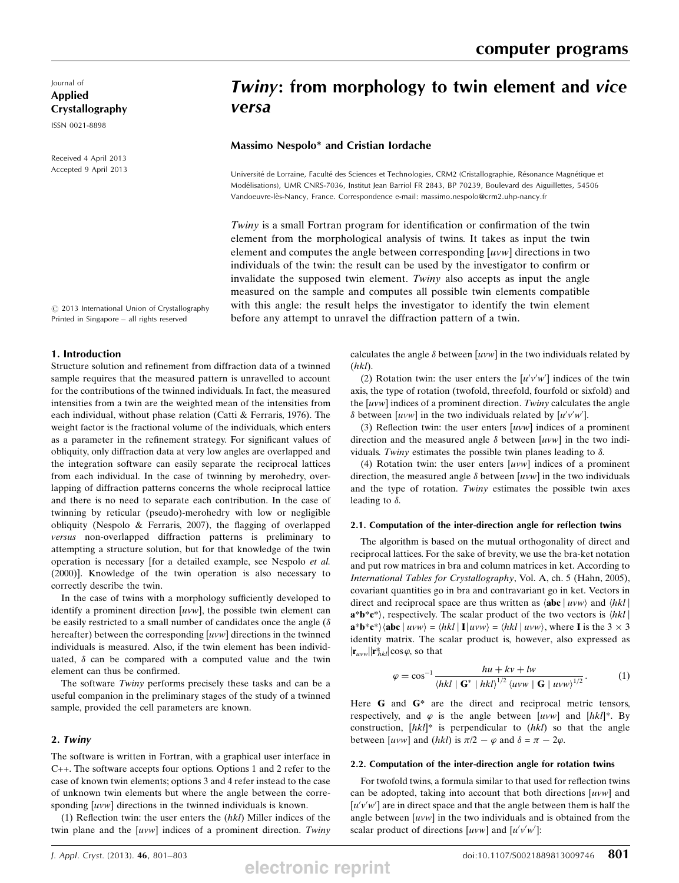Journal of Applied Crystallography

ISSN 0021-8898

Received 4 April 2013 Accepted 9 April 2013

## Twiny: from morphology to twin element and vice versa

#### Massimo Nespolo\* and Cristian Iordache

Université de Lorraine, Faculté des Sciences et Technologies, CRM2 (Cristallographie, Résonance Magnétique et Modélisations), UMR CNRS-7036, Institut Jean Barriol FR 2843, BP 70239, Boulevard des Aiguillettes, 54506 Vandoeuvre-le`s-Nancy, France. Correspondence e-mail: massimo.nespolo@crm2.uhp-nancy.fr

Twiny is a small Fortran program for identification or confirmation of the twin element from the morphological analysis of twins. It takes as input the twin element and computes the angle between corresponding [uvw] directions in two individuals of the twin: the result can be used by the investigator to confirm or invalidate the supposed twin element. Twiny also accepts as input the angle measured on the sample and computes all possible twin elements compatible with this angle: the result helps the investigator to identify the twin element before any attempt to unravel the diffraction pattern of a twin.

 $©$  2013 International Union of Crystallography Printed in Singapore – all rights reserved

#### 1. Introduction

Structure solution and refinement from diffraction data of a twinned sample requires that the measured pattern is unravelled to account for the contributions of the twinned individuals. In fact, the measured intensities from a twin are the weighted mean of the intensities from each individual, without phase relation (Catti & Ferraris, 1976). The weight factor is the fractional volume of the individuals, which enters as a parameter in the refinement strategy. For significant values of obliquity, only diffraction data at very low angles are overlapped and the integration software can easily separate the reciprocal lattices from each individual. In the case of twinning by merohedry, overlapping of diffraction patterns concerns the whole reciprocal lattice and there is no need to separate each contribution. In the case of twinning by reticular (pseudo)-merohedry with low or negligible obliquity (Nespolo & Ferraris, 2007), the flagging of overlapped versus non-overlapped diffraction patterns is preliminary to attempting a structure solution, but for that knowledge of the twin operation is necessary [for a detailed example, see Nespolo et al. (2000)]. Knowledge of the twin operation is also necessary to correctly describe the twin.

In the case of twins with a morphology sufficiently developed to identify a prominent direction [uvw], the possible twin element can be easily restricted to a small number of candidates once the angle ( $\delta$ hereafter) between the corresponding  $[uvw]$  directions in the twinned individuals is measured. Also, if the twin element has been individuated,  $\delta$  can be compared with a computed value and the twin element can thus be confirmed.

The software Twiny performs precisely these tasks and can be a useful companion in the preliminary stages of the study of a twinned sample, provided the cell parameters are known.

#### 2. Twiny

The software is written in Fortran, with a graphical user interface in C++. The software accepts four options. Options 1 and 2 refer to the case of known twin elements; options 3 and 4 refer instead to the case of unknown twin elements but where the angle between the corresponding [uvw] directions in the twinned individuals is known.

(1) Reflection twin: the user enters the  $(hkl)$  Miller indices of the twin plane and the  $[uvw]$  indices of a prominent direction. Twiny calculates the angle  $\delta$  between [uvw] in the two individuals related by  $(hh)$  $(hk)$ .

(2) Rotation twin: the user enters the  $[u'v'w']$  indices of the twin<br>is the type of rotation (twofold, threefold, fourfold or sixfold) and axis, the type of rotation (twofold, threefold, fourfold or sixfold) and the  $[uvw]$  indices of a prominent direction. Twiny calculates the angle  $\delta$  between [uvw] in the two individuals related by [u'v'w'].<br>(3) Reflection twin: the user enters [uvw] indices of a

(3) Reflection twin: the user enters  $[uvw]$  indices of a prominent direction and the measured angle  $\delta$  between [uvw] in the two indi-<br>viduals. Twiny estimates the possible twin planes leading to  $\delta$ viduals. Twiny estimates the possible twin planes leading to  $\delta$ .<br>(4) Rotation twin: the user enters *[uvul*] indices of a prop

(4) Rotation twin: the user enters [uvw] indices of a prominent direction, the measured angle  $\delta$  between [uvw] in the two individuals<br>and the type of rotation. Twiny estimates the possible twin axes and the type of rotation. Twiny estimates the possible twin axes leading to  $\delta$ .

#### 2.1. Computation of the inter-direction angle for reflection twins

The algorithm is based on the mutual orthogonality of direct and reciprocal lattices. For the sake of brevity, we use the bra-ket notation and put row matrices in bra and column matrices in ket. According to International Tables for Crystallography, Vol. A, ch. 5 (Hahn, 2005), covariant quantities go in bra and contravariant go in ket. Vectors in direct and reciprocal space are thus written as  $\langle \mathbf{abc} | uvw \rangle$  and  $\langle hkl |$  $a^*b^*c^*$ , respectively. The scalar product of the two vectors is  $\langle hkl \rangle$  $a^*b^*c^*\rangle\langle abc | uvw \rangle = \langle hkl | I | uvw \rangle = \langle hkl | uvw \rangle$ , where I is the 3  $\times$  3 identity matrix. The scalar product is however also expressed as identity matrix. The scalar product is, however, also expressed as  $|\mathbf{r}_{uvw}||\mathbf{r}_{hkl}^{*}| \cos \varphi$ , so that

$$
\varphi = \cos^{-1} \frac{hu + kv + lw}{\langle hkl | \mathbf{G}^* | hkl \rangle^{1/2} \langle uvw | \mathbf{G} | uvw \rangle^{1/2}}.
$$
 (1)

Here  $G$  and  $G^*$  are the direct and reciprocal metric tensors, respectively, and  $\varphi$  is the angle between [uvw] and [hkl]\*. By construction,  $[hkl]^*$  is perpendicular to  $(hkl)$  so that the angle between [uvw] and (hkl) is  $\pi/2 - \varphi$  and  $\delta = \pi - 2\varphi$ .

#### 2.2. Computation of the inter-direction angle for rotation twins

For twofold twins, a formula similar to that used for reflection twins can be adopted, taking into account that both directions  $[uvw]$  and  $[u'v'w']$  are in direct space and that the angle between them is half the<br>angle between  $[u'w]$  in the two individuals and is obtained from the angle between  $[uvw]$  in the two individuals and is obtained from the scalar product of directions  $[uvw]$  and  $[u'v'w']$ :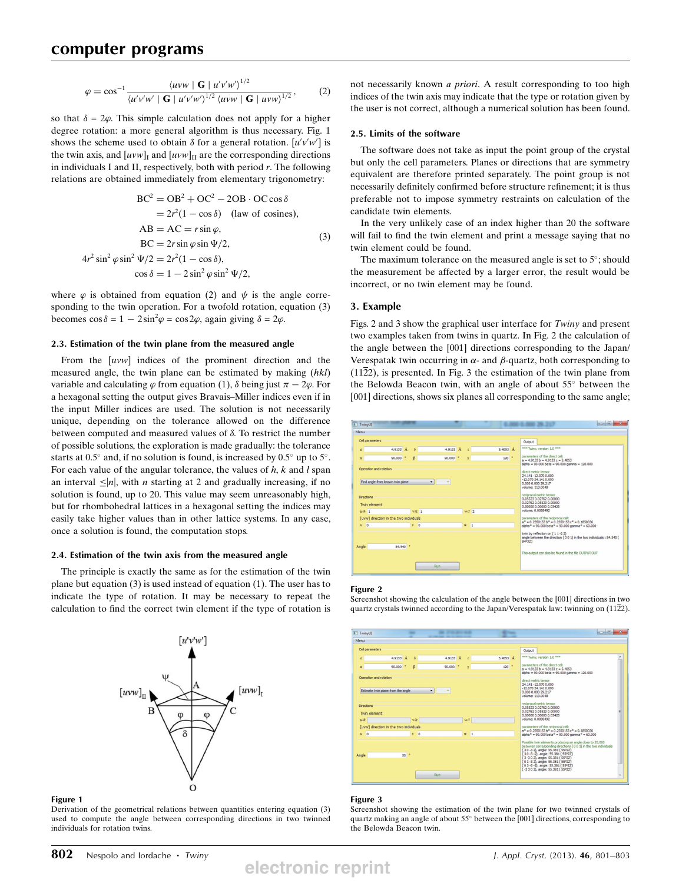$$
\varphi = \cos^{-1} \frac{\langle uvw \mid \mathbf{G} \mid u'v'w'\rangle^{1/2}}{\langle u'v'w' \mid \mathbf{G} \mid u'v'w'\rangle^{1/2} \langle uvw \mid \mathbf{G} \mid uvw\rangle^{1/2}},\tag{2}
$$

so that  $\delta = 2\varphi$ . This simple calculation does not apply for a higher degree rotation: a more general algorithm is thus necessary. Fig. 1 shows the scheme used to obtain  $\delta$  for a general rotation.  $[u'v'w']$  is<br>the twin axis, and  $[uvw]$ , and  $[uww]$ , are the corresponding directions the twin axis, and  $[uvw]_I$  and  $[uvw]_{II}$  are the corresponding directions in individuals I and II, respectively, both with period  $r$ . The following relations are obtained immediately from elementary trigonometry:

$$
BC^{2} = OB^{2} + OC^{2} - 2OB \cdot OC \cos \delta
$$
  
=  $2r^{2}(1 - \cos \delta)$  (law of cosines),  
AB = AC =  $r \sin \varphi$ ,  
BC =  $2r \sin \varphi \sin \Psi/2$ ,  
 $4r^{2} \sin^{2} \varphi \sin^{2} \Psi/2 = 2r^{2}(1 - \cos \delta)$ ,  
 $\cos \delta = 1 - 2 \sin^{2} \varphi \sin^{2} \Psi/2$ , (3)

where  $\varphi$  is obtained from equation (2) and  $\psi$  is the angle corresponding to the twin operation. For a twofold rotation, equation (3) becomes  $\cos \delta = 1 - 2\sin^2 \varphi = \cos 2\varphi$ , again giving  $\delta = 2\varphi$ .

#### 2.3. Estimation of the twin plane from the measured angle

From the [uvw] indices of the prominent direction and the measured angle, the twin plane can be estimated by making (hkl) variable and calculating  $\varphi$  from equation (1),  $\delta$  being just  $\pi - 2\varphi$ . For a hexagonal setting the output gives Bravais–Miller indices even if in the input Miller indices are used. The solution is not necessarily unique, depending on the tolerance allowed on the difference between computed and measured values of  $\delta$ . To restrict the number of possible solutions, the exploration is made gradually: the tolerance starts at  $0.5^{\circ}$  and, if no solution is found, is increased by  $0.5^{\circ}$  up to  $5^{\circ}$ . For each value of the angular tolerance, the values of  $h$ ,  $k$  and  $l$  span an interval  $\leq |n|$ , with *n* starting at 2 and gradually increasing, if no solution is found, up to 20. This value may seem unreasonably high, but for rhombohedral lattices in a hexagonal setting the indices may easily take higher values than in other lattice systems. In any case, once a solution is found, the computation stops.

#### 2.4. Estimation of the twin axis from the measured angle

The principle is exactly the same as for the estimation of the twin plane but equation (3) is used instead of equation (1). The user has to indicate the type of rotation. It may be necessary to repeat the calculation to find the correct twin element if the type of rotation is



#### Figure 1

Derivation of the geometrical relations between quantities entering equation (3) used to compute the angle between corresponding directions in two twinned individuals for rotation twins.

not necessarily known a priori. A result corresponding to too high indices of the twin axis may indicate that the type or rotation given by the user is not correct, although a numerical solution has been found.

#### 2.5. Limits of the software

The software does not take as input the point group of the crystal but only the cell parameters. Planes or directions that are symmetry equivalent are therefore printed separately. The point group is not necessarily definitely confirmed before structure refinement; it is thus preferable not to impose symmetry restraints on calculation of the candidate twin elements.

In the very unlikely case of an index higher than 20 the software will fail to find the twin element and print a message saying that no twin element could be found.

The maximum tolerance on the measured angle is set to  $5^\circ$ ; should the measurement be affected by a larger error, the result would be incorrect, or no twin element may be found.

#### 3. Example

Figs. 2 and 3 show the graphical user interface for Twiny and present two examples taken from twins in quartz. In Fig. 2 the calculation of the angle between the [001] directions corresponding to the Japan/ Verespatak twin occurring in  $\alpha$ - and  $\beta$ -quartz, both corresponding to  $(11\overline{2}2)$ , is presented. In Fig. 3 the estimation of the twin plane from the Belowda Beacon twin, with an angle of about  $55^{\circ}$  between the [001] directions, shows six planes all corresponding to the same angle;



#### Figure 2

Screenshot showing the calculation of the angle between the [001] directions in two quartz crystals twinned according to the Japan/Verespatak law: twinning on  $(11\overline{2}2)$ .



#### Figure 3

Screenshot showing the estimation of the twin plane for two twinned crystals of quartz making an angle of about  $55^\circ$  between the [001] directions, corresponding to the Belowda Beacon twin.